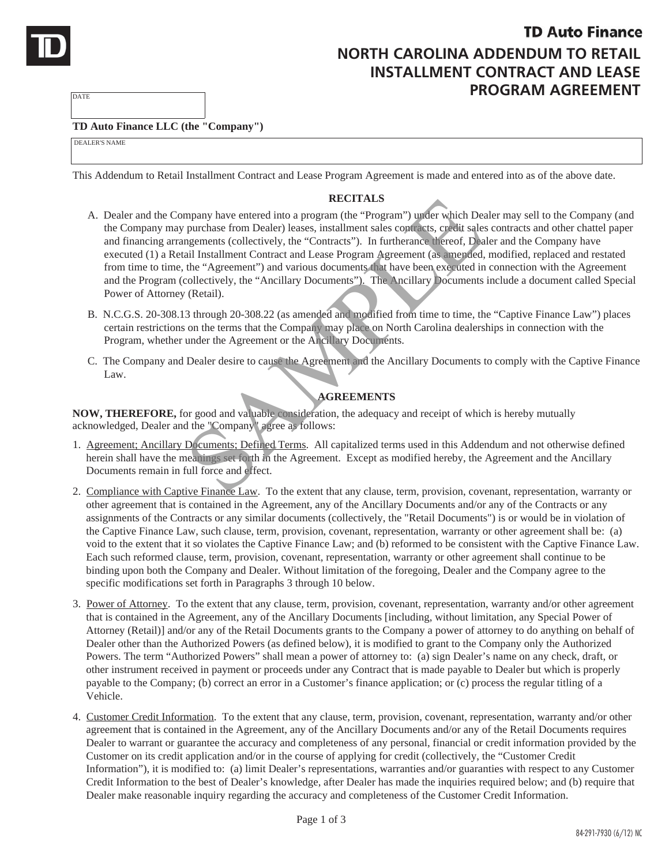

**PROGRAM AGREEMENT**

## **TD Auto Finance LLC (the "Company")**

DEALER'S NAME

**DATE** 

This Addendum to Retail Installment Contract and Lease Program Agreement is made and entered into as of the above date.

## **RECITALS**

- A. Dealer and the Company have entered into a program (the "Program") under which Dealer may sell to the Company (and the Company may purchase from Dealer) leases, installment sales contracts, credit sales contracts and other chattel paper and financing arrangements (collectively, the "Contracts"). In furtherance thereof, Dealer and the Company have executed (1) a Retail Installment Contract and Lease Program Agreement (as amended, modified, replaced and restated from time to time, the "Agreement") and various documents that have been executed in connection with the Agreement and the Program (collectively, the "Ancillary Documents"). The Ancillary Documents include a document called Special Power of Attorney (Retail). **RECITALS**<br>**RECITALS**<br>**RECITALS**<br>**RECITALS**<br>**PERICALS**<br>**PERICALS**<br>**PERICALS**<br>**PERICALS**<br>**PERICALS**<br>**PERICALS**<br>**PERICALS**<br>**PERICALS**<br>**PERICALS**<br>**PERICALS**<br>**PERICALS**<br>**PERICALS**<br>**PERICALS**<br>**PERICALS**<br>**PERICALS**<br>**PERICALS**<br>**P**
- B. N.C.G.S. 20-308.13 through 20-308.22 (as amended and modified from time to time, the "Captive Finance Law") places certain restrictions on the terms that the Company may place on North Carolina dealerships in connection with the Program, whether under the Agreement or the Ancillary Documents.
- C. The Company and Dealer desire to cause the Agreement and the Ancillary Documents to comply with the Captive Finance Law.

## **AGREEMENTS**

**NOW, THEREFORE,** for good and valuable consideration, the adequacy and receipt of which is hereby mutually acknowledged, Dealer and the "Company" agree as follows:

- 1. Agreement; Ancillary Documents; Defined Terms. All capitalized terms used in this Addendum and not otherwise defined herein shall have the meanings set forth in the Agreement. Except as modified hereby, the Agreement and the Ancillary Documents remain in full force and effect.
- 2. Compliance with Captive Finance Law. To the extent that any clause, term, provision, covenant, representation, warranty or other agreement that is contained in the Agreement, any of the Ancillary Documents and/or any of the Contracts or any assignments of the Contracts or any similar documents (collectively, the "Retail Documents") is or would be in violation of the Captive Finance Law, such clause, term, provision, covenant, representation, warranty or other agreement shall be: (a) void to the extent that it so violates the Captive Finance Law; and (b) reformed to be consistent with the Captive Finance Law. Each such reformed clause, term, provision, covenant, representation, warranty or other agreement shall continue to be binding upon both the Company and Dealer. Without limitation of the foregoing, Dealer and the Company agree to the specific modifications set forth in Paragraphs 3 through 10 below.
- 3. Power of Attorney. To the extent that any clause, term, provision, covenant, representation, warranty and/or other agreement that is contained in the Agreement, any of the Ancillary Documents [including, without limitation, any Special Power of Attorney (Retail)] and/or any of the Retail Documents grants to the Company a power of attorney to do anything on behalf of Dealer other than the Authorized Powers (as defined below), it is modified to grant to the Company only the Authorized Powers. The term "Authorized Powers" shall mean a power of attorney to: (a) sign Dealer's name on any check, draft, or other instrument received in payment or proceeds under any Contract that is made payable to Dealer but which is properly payable to the Company; (b) correct an error in a Customer's finance application; or (c) process the regular titling of a Vehicle.
- 4. Customer Credit Information. To the extent that any clause, term, provision, covenant, representation, warranty and/or other agreement that is contained in the Agreement, any of the Ancillary Documents and/or any of the Retail Documents requires Dealer to warrant or guarantee the accuracy and completeness of any personal, financial or credit information provided by the Customer on its credit application and/or in the course of applying for credit (collectively, the "Customer Credit Information"), it is modified to: (a) limit Dealer's representations, warranties and/or guaranties with respect to any Customer Credit Information to the best of Dealer's knowledge, after Dealer has made the inquiries required below; and (b) require that Dealer make reasonable inquiry regarding the accuracy and completeness of the Customer Credit Information.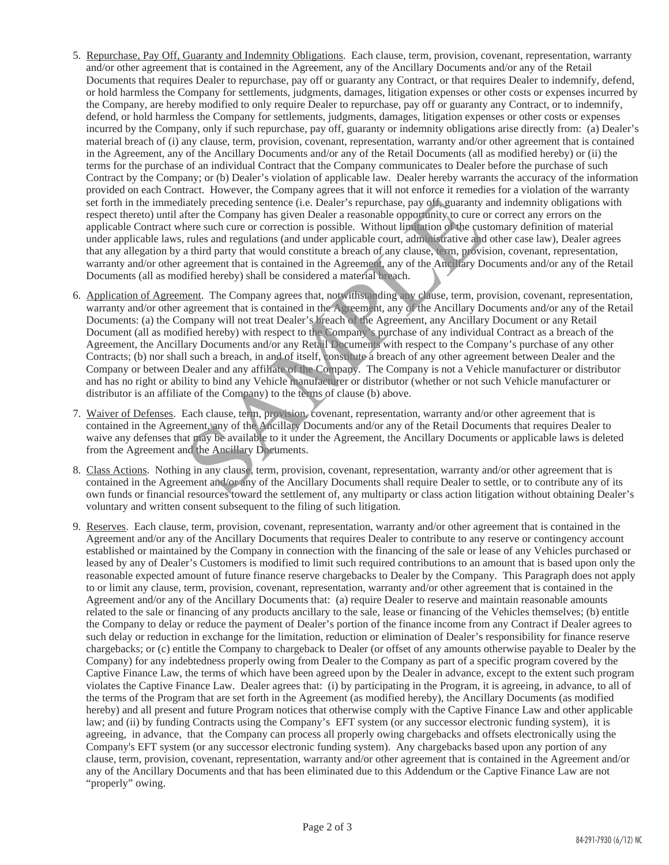- 5. Repurchase, Pay Off, Guaranty and Indemnity Obligations. Each clause, term, provision, covenant, representation, warranty and/or other agreement that is contained in the Agreement, any of the Ancillary Documents and/or any of the Retail Documents that requires Dealer to repurchase, pay off or guaranty any Contract, or that requires Dealer to indemnify, defend, or hold harmless the Company for settlements, judgments, damages, litigation expenses or other costs or expenses incurred by the Company, are hereby modified to only require Dealer to repurchase, pay off or guaranty any Contract, or to indemnify, defend, or hold harmless the Company for settlements, judgments, damages, litigation expenses or other costs or expenses incurred by the Company, only if such repurchase, pay off, guaranty or indemnity obligations arise directly from: (a) Dealer's material breach of (i) any clause, term, provision, covenant, representation, warranty and/or other agreement that is contained in the Agreement, any of the Ancillary Documents and/or any of the Retail Documents (all as modified hereby) or (ii) the terms for the purchase of an individual Contract that the Company communicates to Dealer before the purchase of such Contract by the Company; or (b) Dealer's violation of applicable law. Dealer hereby warrants the accuracy of the information provided on each Contract. However, the Company agrees that it will not enforce it remedies for a violation of the warranty set forth in the immediately preceding sentence (i.e. Dealer's repurchase, pay off, guaranty and indemnity obligations with respect thereto) until after the Company has given Dealer a reasonable opportunity to cure or correct any errors on the applicable Contract where such cure or correction is possible. Without limitation of the customary definition of material under applicable laws, rules and regulations (and under applicable court, administrative and other case law), Dealer agrees that any allegation by a third party that would constitute a breach of any clause, term, provision, covenant, representation, warranty and/or other agreement that is contained in the Agreement, any of the Ancillary Documents and/or any of the Retail Documents (all as modified hereby) shall be considered a material breach.
- 6. Application of Agreement. The Company agrees that, notwithstanding any clause, term, provision, covenant, representation, warranty and/or other agreement that is contained in the Agreement, any of the Ancillary Documents and/or any of the Retail Documents: (a) the Company will not treat Dealer's breach of the Agreement, any Ancillary Document or any Retail Document (all as modified hereby) with respect to the Company's purchase of any individual Contract as a breach of the Agreement, the Ancillary Documents and/or any Retail Documents with respect to the Company's purchase of any other Contracts; (b) nor shall such a breach, in and of itself, constitute a breach of any other agreement between Dealer and the Company or between Dealer and any affiliate of the Company. The Company is not a Vehicle manufacturer or distributor and has no right or ability to bind any Vehicle manufacturer or distributor (whether or not such Vehicle manufacturer or distributor is an affiliate of the Company) to the terms of clause (b) above. ately preceding sentence (i.e. Dealer's repurchase, pay of f. guaranty<br>frer the Company has given Dealer a reasonable opporunity to cure ore<br>relates uch cure or correction is possible. Without limitation of the cuse<br>rules
- 7. Waiver of Defenses. Each clause, term, provision, covenant, representation, warranty and/or other agreement that is contained in the Agreement, any of the Ancillary Documents and/or any of the Retail Documents that requires Dealer to waive any defenses that may be available to it under the Agreement, the Ancillary Documents or applicable laws is deleted from the Agreement and the Ancillary Documents.
- 8. Class Actions. Nothing in any clause, term, provision, covenant, representation, warranty and/or other agreement that is contained in the Agreement and/or any of the Ancillary Documents shall require Dealer to settle, or to contribute any of its own funds or financial resources toward the settlement of, any multiparty or class action litigation without obtaining Dealer's voluntary and written consent subsequent to the filing of such litigation.
- 9. Reserves. Each clause, term, provision, covenant, representation, warranty and/or other agreement that is contained in the Agreement and/or any of the Ancillary Documents that requires Dealer to contribute to any reserve or contingency account established or maintained by the Company in connection with the financing of the sale or lease of any Vehicles purchased or leased by any of Dealer's Customers is modified to limit such required contributions to an amount that is based upon only the reasonable expected amount of future finance reserve chargebacks to Dealer by the Company. This Paragraph does not apply to or limit any clause, term, provision, covenant, representation, warranty and/or other agreement that is contained in the Agreement and/or any of the Ancillary Documents that: (a) require Dealer to reserve and maintain reasonable amounts related to the sale or financing of any products ancillary to the sale, lease or financing of the Vehicles themselves; (b) entitle the Company to delay or reduce the payment of Dealer's portion of the finance income from any Contract if Dealer agrees to such delay or reduction in exchange for the limitation, reduction or elimination of Dealer's responsibility for finance reserve chargebacks; or (c) entitle the Company to chargeback to Dealer (or offset of any amounts otherwise payable to Dealer by the Company) for any indebtedness properly owing from Dealer to the Company as part of a specific program covered by the Captive Finance Law, the terms of which have been agreed upon by the Dealer in advance, except to the extent such program violates the Captive Finance Law. Dealer agrees that: (i) by participating in the Program, it is agreeing, in advance, to all of the terms of the Program that are set forth in the Agreement (as modified hereby), the Ancillary Documents (as modified hereby) and all present and future Program notices that otherwise comply with the Captive Finance Law and other applicable law; and (ii) by funding Contracts using the Company's EFT system (or any successor electronic funding system), it is agreeing, in advance, that the Company can process all properly owing chargebacks and offsets electronically using the Company's EFT system (or any successor electronic funding system). Any chargebacks based upon any portion of any clause, term, provision, covenant, representation, warranty and/or other agreement that is contained in the Agreement and/or any of the Ancillary Documents and that has been eliminated due to this Addendum or the Captive Finance Law are not "properly" owing.